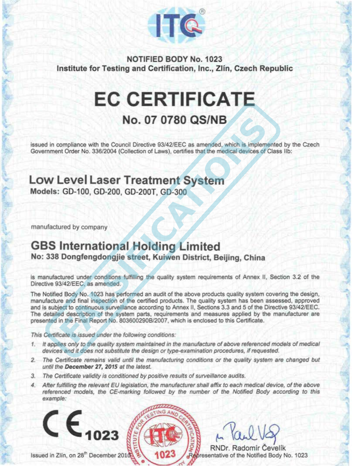

NOTIFIED BODY No. 1023 Institute for Testing and Certification, Inc., Zlín, Czech Republic

## **EC CERTIFICATE No. 07 0780 QS/NB**

issued in compliance with the Council Directive 93/42/EEC as amended. which is implemented by the Czech Government Order No. 336/2004 (Collection of Laws), certifies that the medical devices of Class IIb:

#### **Low Level Laser Treatment System**  Models: GD-100, GD-200, GD-200T, GD-300

manufactured by company

### **GBS lnternational Holding Limited**

No: 338 Dongfengdongjie street, Kuiwen District, Beijing, China

is manufactured under conditions fulfilling the quality system requirements of Annex li, Section 3.2 of the Directive 93/42/EEC, as amended.

The Notified Body No. 1023 has performed an audit of the above products quality syslem covering the design, manufacture and final inspection of the certified products. The quality system has been assessed, approved and ls subject to continuous surveillance according to Annex li, Sections 3.3 and 5 of the Directive 93/42/EEC. The detailed description of the syslem parts. requirements and measures applied by the manufacturer are presented in the Final Report No. 803600290B/2007, which is enclosed to this Certificate.

This Certificate is issued under the following conditions:

- 1. lt applies only to the quality syslem maintained in the manufacture of above referenced mode/s of medical devices and it does not substitute the design or type-examination procedures, if requested.
- 2. The Certificate remains valid until the manufacturing conditions or the quality system are changed but until the December 27, 2015 at the /atest.
- 3. The Cettificate validity ls conditioned by positive results of surveillance audits.
- 4. After fulfilling the relevant EU legislation, the manufacturer shall affix to each medical device, of the above referenced models, the CE-marking followed by the number of the Notified Body according to this example:

Issued in Zlin, on 28<sup>th</sup> December 2010

 $\mathsf{CE}_{1023}$ 

 $\mu$  like veg

RNDr. Radomir Čevelfk Representative of the Notified Body No. 1023